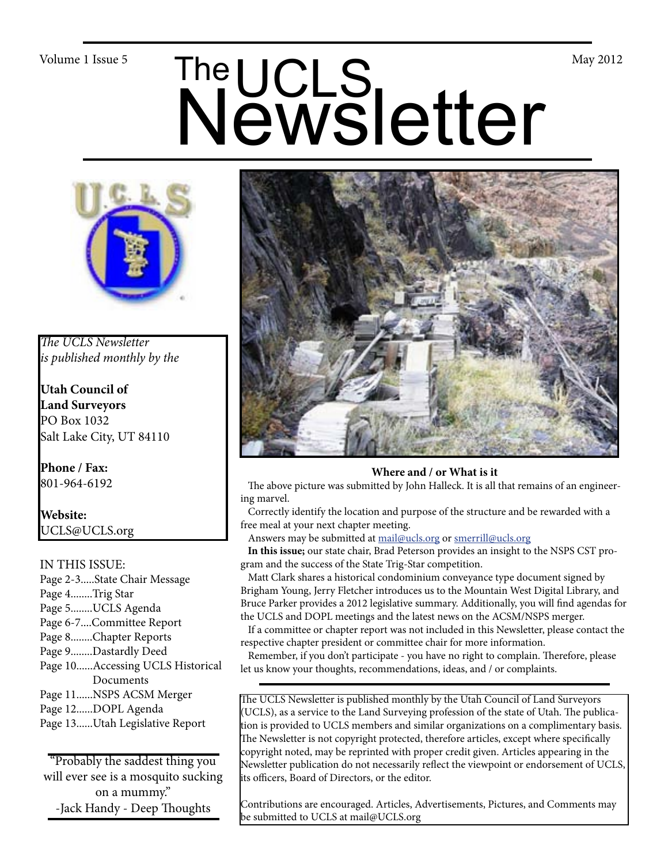# Volume 1 Issue 5<br>
Newsletter



*The UCLS Newsletter is published monthly by the*

**Utah Council of Land Surveyors** PO Box 1032 Salt Lake City, UT 84110

**Phone / Fax:**  801-964-6192

**Website:** UCLS@UCLS.org

IN THIS ISSUE: Page 2-3.....State Chair Message Page 4........Trig Star Page 5........UCLS Agenda Page 6-7....Committee Report Page 8........Chapter Reports Page 9........Dastardly Deed Page 10......Accessing UCLS Historical Documents Page 11......NSPS ACSM Merger Page 12......DOPL Agenda

Page 13......Utah Legislative Report

"Probably the saddest thing you will ever see is a mosquito sucking on a mummy." -Jack Handy - Deep Thoughts



# **Where and / or What is it**

 The above picture was submitted by John Halleck. It is all that remains of an engineering marvel.

 Correctly identify the location and purpose of the structure and be rewarded with a free meal at your next chapter meeting.

Answers may be submitted at mail@ucls.org or smerrill@ucls.org

 **In this issue;** our state chair, Brad Peterson provides an insight to the NSPS CST program and the success of the State Trig-Star competition.

 Matt Clark shares a historical condominium conveyance type document signed by Brigham Young, Jerry Fletcher introduces us to the Mountain West Digital Library, and Bruce Parker provides a 2012 legislative summary. Additionally, you will find agendas for the UCLS and DOPL meetings and the latest news on the ACSM/NSPS merger.

 If a committee or chapter report was not included in this Newsletter, please contact the respective chapter president or committee chair for more information.

 Remember, if you don't participate - you have no right to complain. Therefore, please let us know your thoughts, recommendations, ideas, and / or complaints.

The UCLS Newsletter is published monthly by the Utah Council of Land Surveyors (UCLS), as a service to the Land Surveying profession of the state of Utah. The publication is provided to UCLS members and similar organizations on a complimentary basis. The Newsletter is not copyright protected, therefore articles, except where specifically copyright noted, may be reprinted with proper credit given. Articles appearing in the Newsletter publication do not necessarily reflect the viewpoint or endorsement of UCLS, its officers, Board of Directors, or the editor.

Contributions are encouraged. Articles, Advertisements, Pictures, and Comments may be submitted to UCLS at mail@UCLS.org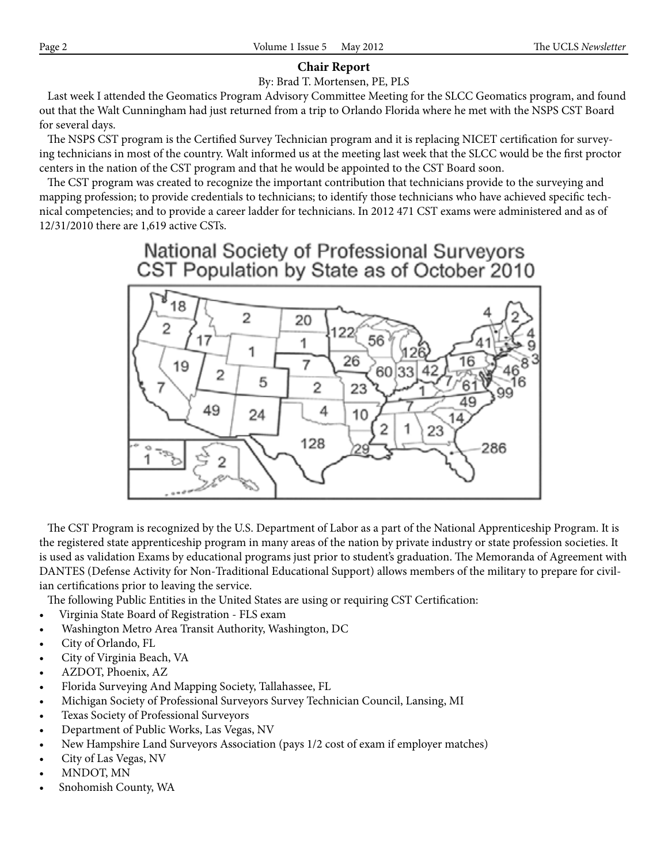# **Chair Report**

By: Brad T. Mortensen, PE, PLS

 Last week I attended the Geomatics Program Advisory Committee Meeting for the SLCC Geomatics program, and found out that the Walt Cunningham had just returned from a trip to Orlando Florida where he met with the NSPS CST Board for several days.

 The NSPS CST program is the Certified Survey Technician program and it is replacing NICET certification for surveying technicians in most of the country. Walt informed us at the meeting last week that the SLCC would be the first proctor centers in the nation of the CST program and that he would be appointed to the CST Board soon.

 The CST program was created to recognize the important contribution that technicians provide to the surveying and mapping profession; to provide credentials to technicians; to identify those technicians who have achieved specific technical competencies; and to provide a career ladder for technicians. In 2012 471 CST exams were administered and as of 12/31/2010 there are 1,619 active CSTs.



 The CST Program is recognized by the U.S. Department of Labor as a part of the National Apprenticeship Program. It is the registered state apprenticeship program in many areas of the nation by private industry or state profession societies. It is used as validation Exams by educational programs just prior to student's graduation. The Memoranda of Agreement with DANTES (Defense Activity for Non-Traditional Educational Support) allows members of the military to prepare for civilian certifications prior to leaving the service.

The following Public Entities in the United States are using or requiring CST Certification:

- • Virginia State Board of Registration FLS exam
- Washington Metro Area Transit Authority, Washington, DC
- City of Orlando, FL
- City of Virginia Beach, VA
- AZDOT, Phoenix, AZ
- Florida Surveying And Mapping Society, Tallahassee, FL
- Michigan Society of Professional Surveyors Survey Technician Council, Lansing, MI
- Texas Society of Professional Surveyors
- Department of Public Works, Las Vegas, NV
- New Hampshire Land Surveyors Association (pays 1/2 cost of exam if employer matches)
- City of Las Vegas, NV
- MNDOT, MN
- Snohomish County, WA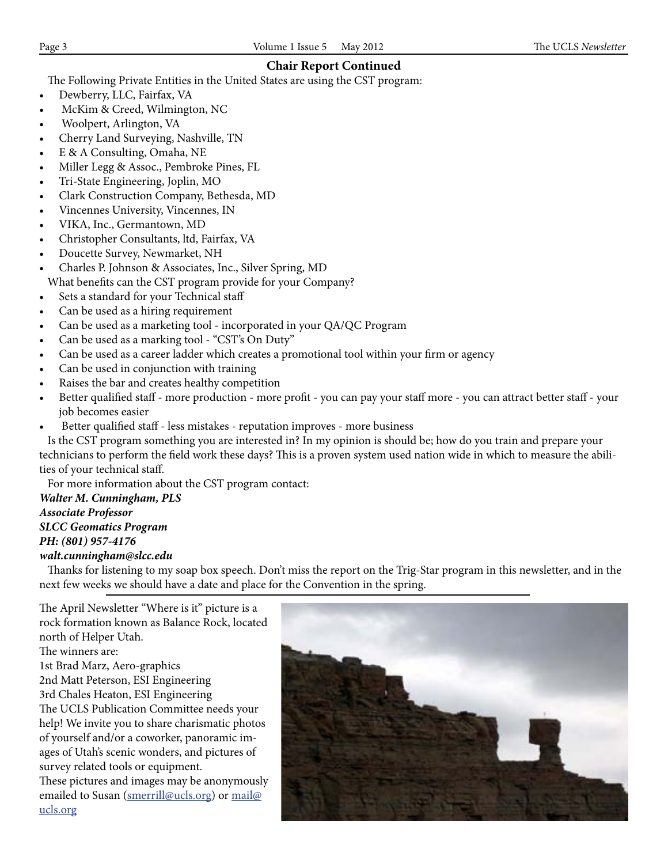# **Chair Report Continued**

The Following Private Entities in the United States are using the CST program:

- Dewberry, LLC, Fairfax, VA
- McKim & Creed, Wilmington, NC
- Woolpert, Arlington, VA
- Cherry Land Surveying, Nashville, TN
- E & A Consulting, Omaha, NE
- Miller Legg & Assoc., Pembroke Pines, FL
- Tri-State Engineering, Joplin, MO
- Clark Construction Company, Bethesda, MD
- Vincennes University, Vincennes, IN
- VIKA, Inc., Germantown, MD
- Christopher Consultants, ltd, Fairfax, VA
- Doucette Survey, Newmarket, NH
- Charles P. Johnson & Associates, Inc., Silver Spring, MD What benefits can the CST program provide for your Company?
- Sets a standard for your Technical staff
- Can be used as a hiring requirement
- Can be used as a marketing tool incorporated in your QA/QC Program
- Can be used as a marking tool "CST's On Duty"
- Can be used as a career ladder which creates a promotional tool within your firm or agency
- Can be used in conjunction with training
- Raises the bar and creates healthy competition
- Better qualified staff more production more profit you can pay your staff more you can attract better staff your job becomes easier
- Better qualified staff less mistakes reputation improves more business

 Is the CST program something you are interested in? In my opinion is should be; how do you train and prepare your technicians to perform the field work these days? This is a proven system used nation wide in which to measure the abilities of your technical staff.

For more information about the CST program contact:

# *Walter M. Cunningham, PLS*

# *Associate Professor*

*SLCC Geomatics Program*

## *PH: (801) 957-4176*

ucls.org

# *walt.cunningham@slcc.edu*

 Thanks for listening to my soap box speech. Don't miss the report on the Trig-Star program in this newsletter, and in the next few weeks we should have a date and place for the Convention in the spring.

The April Newsletter "Where is it" picture is a rock formation known as Balance Rock, located north of Helper Utah. The winners are: 1st Brad Marz, Aero-graphics 2nd Matt Peterson, ESI Engineering 3rd Chales Heaton, ESI Engineering The UCLS Publication Committee needs your help! We invite you to share charismatic photos of yourself and/or a coworker, panoramic images of Utah's scenic wonders, and pictures of survey related tools or equipment. These pictures and images may be anonymously emailed to Susan (smerrill@ucls.org) or mail@

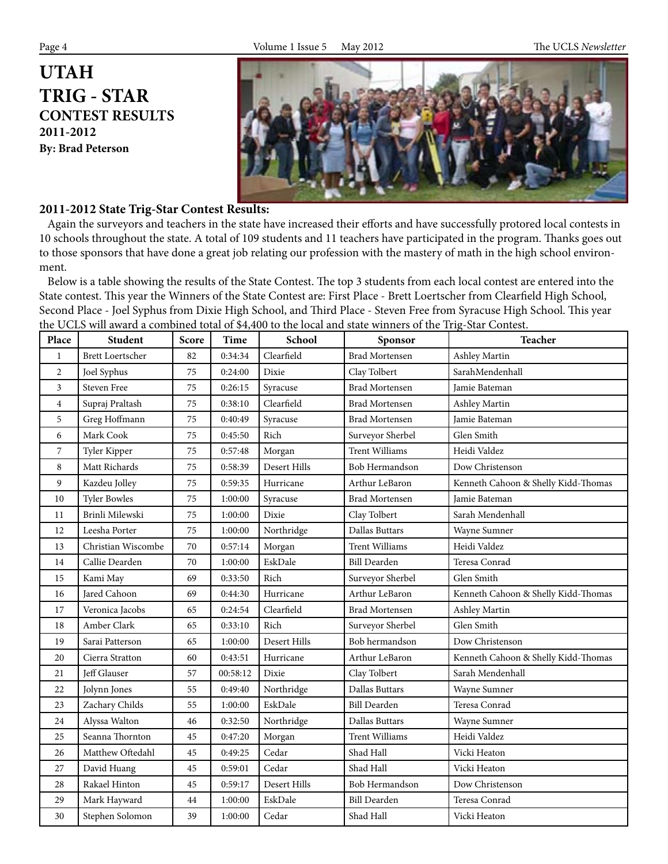**UTAH TRIG - STAR CONTEST RESULTS 2011-2012 By: Brad Peterson**



# **2011-2012 State Trig-Star Contest Results:**

 Again the surveyors and teachers in the state have increased their efforts and have successfully protored local contests in 10 schools throughout the state. A total of 109 students and 11 teachers have participated in the program. Thanks goes out to those sponsors that have done a great job relating our profession with the mastery of math in the high school environment.

 Below is a table showing the results of the State Contest. The top 3 students from each local contest are entered into the State contest. This year the Winners of the State Contest are: First Place - Brett Loertscher from Clearfield High School, Second Place - Joel Syphus from Dixie High School, and Third Place - Steven Free from Syracuse High School. This year the UCLS will award a combined total of \$4,400 to the local and state winners of the Trig-Star Contest.

| Place          | Student                 | Score | <b>Time</b> | School       | Sponsor                                       | <b>Teacher</b>                      |
|----------------|-------------------------|-------|-------------|--------------|-----------------------------------------------|-------------------------------------|
| $\mathbf{1}$   | <b>Brett Loertscher</b> | 82    | 0:34:34     | Clearfield   | <b>Brad Mortensen</b>                         | Ashley Martin                       |
| $\overline{c}$ | Joel Syphus             | 75    | 0:24:00     | Dixie        | SarahMendenhall<br>Clay Tolbert               |                                     |
| $\overline{3}$ | <b>Steven Free</b>      | 75    | 0:26:15     | Syracuse     | <b>Brad Mortensen</b><br><b>Jamie Bateman</b> |                                     |
| $\overline{4}$ | Supraj Praltash         | 75    | 0:38:10     | Clearfield   | <b>Brad Mortensen</b><br>Ashley Martin        |                                     |
| 5              | Greg Hoffmann           | 75    | 0:40:49     | Syracuse     | <b>Brad Mortensen</b>                         | Jamie Bateman                       |
| 6              | Mark Cook               | 75    | 0:45:50     | Rich         | Glen Smith<br>Surveyor Sherbel                |                                     |
| 7              | Tyler Kipper            | 75    | 0:57:48     | Morgan       | <b>Trent Williams</b><br>Heidi Valdez         |                                     |
| 8              | Matt Richards           | 75    | 0:58:39     | Desert Hills | <b>Bob Hermandson</b>                         | Dow Christenson                     |
| 9              | Kazdeu Jolley           | 75    | 0:59:35     | Hurricane    | Arthur LeBaron                                | Kenneth Cahoon & Shelly Kidd-Thomas |
| 10             | <b>Tyler Bowles</b>     | 75    | 1:00:00     | Syracuse     | <b>Brad Mortensen</b>                         | <b>Jamie Bateman</b>                |
| 11             | Brinli Milewski         | 75    | 1:00:00     | Dixie        | Clay Tolbert                                  | Sarah Mendenhall                    |
| 12             | Leesha Porter           | 75    | 1:00:00     | Northridge   | <b>Dallas Buttars</b>                         | Wayne Sumner                        |
| 13             | Christian Wiscombe      | 70    | 0:57:14     | Morgan       | <b>Trent Williams</b>                         | Heidi Valdez                        |
| 14             | Callie Dearden          | 70    | 1:00:00     | EskDale      | <b>Bill Dearden</b>                           | Teresa Conrad                       |
| 15             | Kami May                | 69    | 0:33:50     | Rich         | Surveyor Sherbel                              | Glen Smith                          |
| 16             | Jared Cahoon            | 69    | 0:44:30     | Hurricane    | Arthur LeBaron                                | Kenneth Cahoon & Shelly Kidd-Thomas |
| 17             | Veronica Jacobs         | 65    | 0:24:54     | Clearfield   | <b>Brad Mortensen</b>                         | Ashley Martin                       |
| 18             | Amber Clark             | 65    | 0:33:10     | Rich         | Surveyor Sherbel                              | Glen Smith                          |
| 19             | Sarai Patterson         | 65    | 1:00:00     | Desert Hills | Bob hermandson                                | Dow Christenson                     |
| 20             | Cierra Stratton         | 60    | 0:43:51     | Hurricane    | Arthur LeBaron                                | Kenneth Cahoon & Shelly Kidd-Thomas |
| $21\,$         | Jeff Glauser            | 57    | 00:58:12    | Dixie        | Clay Tolbert                                  | Sarah Mendenhall                    |
| 22             | Jolynn Jones            | 55    | 0:49:40     | Northridge   | <b>Dallas Buttars</b>                         | Wayne Sumner                        |
| 23             | Zachary Childs          | 55    | 1:00:00     | EskDale      | <b>Bill Dearden</b>                           | Teresa Conrad                       |
| 24             | Alyssa Walton           | 46    | 0:32:50     | Northridge   | <b>Dallas Buttars</b>                         | Wayne Sumner                        |
| 25             | Seanna Thornton         | 45    | 0:47:20     | Morgan       | <b>Trent Williams</b>                         | Heidi Valdez                        |
| 26             | Matthew Oftedahl        | 45    | 0:49:25     | Cedar        | Shad Hall                                     | Vicki Heaton                        |
| 27             | David Huang             | 45    | 0:59:01     | Cedar        | Shad Hall                                     | Vicki Heaton                        |
| 28             | Rakael Hinton           | 45    | 0:59:17     | Desert Hills | <b>Bob Hermandson</b>                         | Dow Christenson                     |
| 29             | Mark Hayward            | 44    | 1:00:00     | EskDale      | <b>Bill Dearden</b>                           | Teresa Conrad                       |
| 30             | Stephen Solomon         | 39    | 1:00:00     | Cedar        | Shad Hall                                     | Vicki Heaton                        |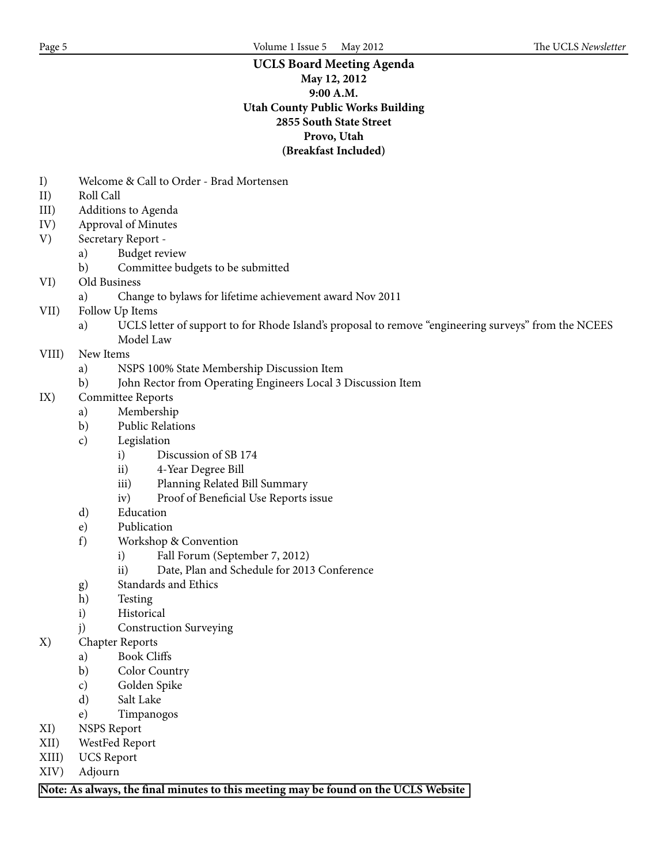# **UCLS Board Meeting Agenda May 12, 2012 9:00 A.M. Utah County Public Works Building 2855 South State Street Provo, Utah (Breakfast Included)**

- I) Welcome & Call to Order Brad Mortensen
- II) Roll Call
- III) Additions to Agenda
- IV) Approval of Minutes
- V) Secretary Report
	- a) Budget review
		- b) Committee budgets to be submitted
- VI) Old Business
	- a) Change to bylaws for lifetime achievement award Nov 2011
- VII) Follow Up Items
	- a) UCLS letter of support to for Rhode Island's proposal to remove "engineering surveys" from the NCEES Model Law
- VIII) New Items
	- a) NSPS 100% State Membership Discussion Item
	- b) John Rector from Operating Engineers Local 3 Discussion Item
- IX) Committee Reports
	- a) Membership
	- b) Public Relations
	- c) Legislation
		- i) Discussion of SB 174
		- ii) 4-Year Degree Bill
		- iii) Planning Related Bill Summary
		- iv) Proof of Beneficial Use Reports issue
	- d) Education
	- e) Publication
	- f) Workshop & Convention
		- i) Fall Forum (September 7, 2012)
		- ii) Date, Plan and Schedule for 2013 Conference
	- g) Standards and Ethics
	- h) Testing
	- i) Historical
	- j) Construction Surveying
- X) Chapter Reports
	- a) Book Cliffs
	- b) Color Country
	- c) Golden Spike
	- d) Salt Lake
	- e) Timpanogos
- XI) NSPS Report
- XII) WestFed Report
- XIII) UCS Report
- XIV) Adjourn

## **Note: As always, the final minutes to this meeting may be found on the UCLS Website**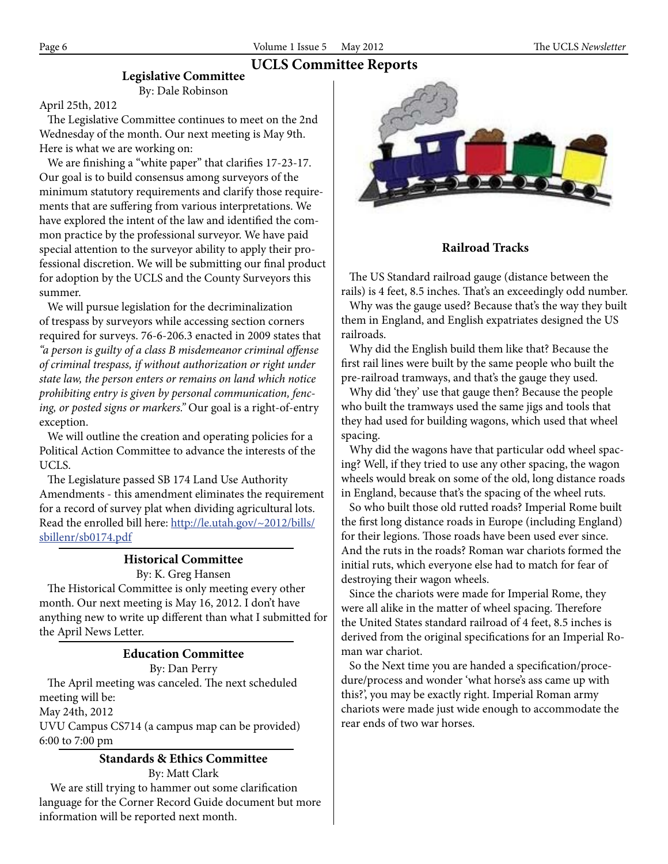# **UCLS Committee Reports**

**Legislative Committee**

By: Dale Robinson

# April 25th, 2012

 The Legislative Committee continues to meet on the 2nd Wednesday of the month. Our next meeting is May 9th. Here is what we are working on:

We are finishing a "white paper" that clarifies 17-23-17. Our goal is to build consensus among surveyors of the minimum statutory requirements and clarify those requirements that are suffering from various interpretations. We have explored the intent of the law and identified the common practice by the professional surveyor. We have paid special attention to the surveyor ability to apply their professional discretion. We will be submitting our final product for adoption by the UCLS and the County Surveyors this summer.

 We will pursue legislation for the decriminalization of trespass by surveyors while accessing section corners required for surveys. 76-6-206.3 enacted in 2009 states that *"a person is guilty of a class B misdemeanor criminal offense of criminal trespass, if without authorization or right under state law, the person enters or remains on land which notice prohibiting entry is given by personal communication, fencing, or posted signs or markers."* Our goal is a right-of-entry exception.

 We will outline the creation and operating policies for a Political Action Committee to advance the interests of the UCLS.

 The Legislature passed SB 174 Land Use Authority Amendments - this amendment eliminates the requirement for a record of survey plat when dividing agricultural lots. Read the enrolled bill here: http://le.utah.gov/~2012/bills/ sbillenr/sb0174.pdf

# **Historical Committee**

By: K. Greg Hansen

 The Historical Committee is only meeting every other month. Our next meeting is May 16, 2012. I don't have anything new to write up different than what I submitted for the April News Letter.

# **Education Committee**

By: Dan Perry The April meeting was canceled. The next scheduled meeting will be: May 24th, 2012 UVU Campus CS714 (a campus map can be provided) 6:00 to 7:00 pm

# **Standards & Ethics Committee** By: Matt Clark

 We are still trying to hammer out some clarification language for the Corner Record Guide document but more information will be reported next month.



# **Railroad Tracks**

 The US Standard railroad gauge (distance between the rails) is 4 feet, 8.5 inches. That's an exceedingly odd number.

 Why was the gauge used? Because that's the way they built them in England, and English expatriates designed the US railroads.

 Why did the English build them like that? Because the first rail lines were built by the same people who built the pre-railroad tramways, and that's the gauge they used.

 Why did 'they' use that gauge then? Because the people who built the tramways used the same jigs and tools that they had used for building wagons, which used that wheel spacing.

 Why did the wagons have that particular odd wheel spacing? Well, if they tried to use any other spacing, the wagon wheels would break on some of the old, long distance roads in England, because that's the spacing of the wheel ruts.

 So who built those old rutted roads? Imperial Rome built the first long distance roads in Europe (including England) for their legions. Those roads have been used ever since. And the ruts in the roads? Roman war chariots formed the initial ruts, which everyone else had to match for fear of destroying their wagon wheels.

 Since the chariots were made for Imperial Rome, they were all alike in the matter of wheel spacing. Therefore the United States standard railroad of 4 feet, 8.5 inches is derived from the original specifications for an Imperial Roman war chariot.

 So the Next time you are handed a specification/procedure/process and wonder 'what horse's ass came up with this?', you may be exactly right. Imperial Roman army chariots were made just wide enough to accommodate the rear ends of two war horses.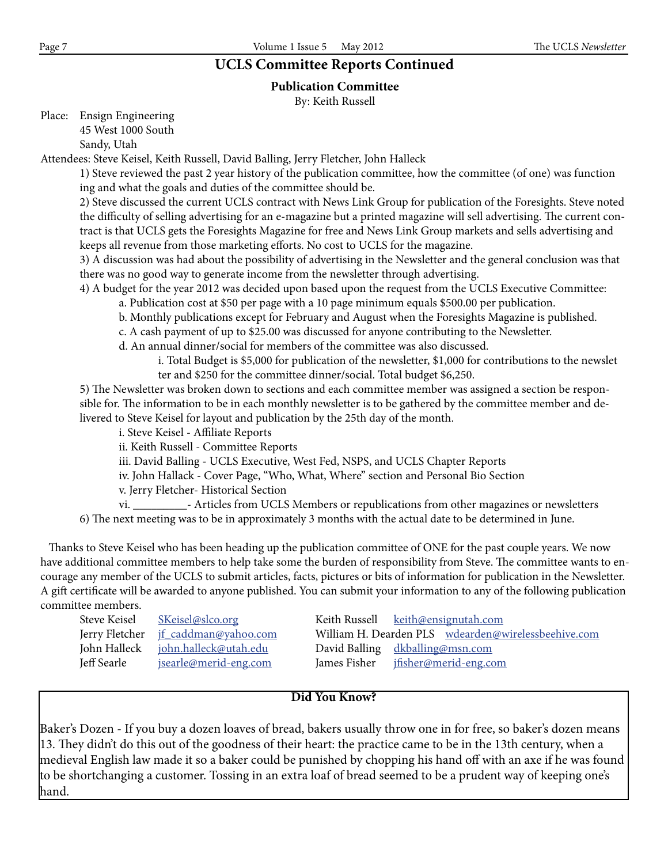# **UCLS Committee Reports Continued**

# **Publication Committee**

By: Keith Russell

Place: Ensign Engineering

45 West 1000 South Sandy, Utah

Attendees: Steve Keisel, Keith Russell, David Balling, Jerry Fletcher, John Halleck

1) Steve reviewed the past 2 year history of the publication committee, how the committee (of one) was function ing and what the goals and duties of the committee should be.

2) Steve discussed the current UCLS contract with News Link Group for publication of the Foresights. Steve noted the difficulty of selling advertising for an e-magazine but a printed magazine will sell advertising. The current contract is that UCLS gets the Foresights Magazine for free and News Link Group markets and sells advertising and keeps all revenue from those marketing efforts. No cost to UCLS for the magazine.

3) A discussion was had about the possibility of advertising in the Newsletter and the general conclusion was that there was no good way to generate income from the newsletter through advertising.

4) A budget for the year 2012 was decided upon based upon the request from the UCLS Executive Committee:

a. Publication cost at \$50 per page with a 10 page minimum equals \$500.00 per publication.

b. Monthly publications except for February and August when the Foresights Magazine is published.

c. A cash payment of up to \$25.00 was discussed for anyone contributing to the Newsletter.

d. An annual dinner/social for members of the committee was also discussed.

 i. Total Budget is \$5,000 for publication of the newsletter, \$1,000 for contributions to the newslet ter and \$250 for the committee dinner/social. Total budget \$6,250.

5) The Newsletter was broken down to sections and each committee member was assigned a section be responsible for. The information to be in each monthly newsletter is to be gathered by the committee member and delivered to Steve Keisel for layout and publication by the 25th day of the month.

i. Steve Keisel - Affiliate Reports

ii. Keith Russell - Committee Reports

iii. David Balling - UCLS Executive, West Fed, NSPS, and UCLS Chapter Reports

iv. John Hallack - Cover Page, "Who, What, Where" section and Personal Bio Section

v. Jerry Fletcher- Historical Section

 vi. \_\_\_\_\_\_\_\_\_- Articles from UCLS Members or republications from other magazines or newsletters 6) The next meeting was to be in approximately 3 months with the actual date to be determined in June.

 Thanks to Steve Keisel who has been heading up the publication committee of ONE for the past couple years. We now have additional committee members to help take some the burden of responsibility from Steve. The committee wants to encourage any member of the UCLS to submit articles, facts, pictures or bits of information for publication in the Newsletter. A gift certificate will be awarded to anyone published. You can submit your information to any of the following publication committee members.

| Steve Keisel | SKeisel@slco.org                           | Keith Russell keith@ensignutah.com        |                                                     |
|--------------|--------------------------------------------|-------------------------------------------|-----------------------------------------------------|
|              | Jerry Fletcher <u>if caddman@yahoo.com</u> |                                           | William H. Dearden PLS wdearden@wirelessbeehive.com |
|              | John Halleck <u>john.halleck@utah.edu</u>  | David Balling dkballing@msn.com           |                                                     |
| Jeff Searle  | jsearle@merid-eng.com                      | James Fisher <i>jfisher@merid-eng.com</i> |                                                     |

# **Did You Know?**

Baker's Dozen - If you buy a dozen loaves of bread, bakers usually throw one in for free, so baker's dozen means 13. They didn't do this out of the goodness of their heart: the practice came to be in the 13th century, when a medieval English law made it so a baker could be punished by chopping his hand off with an axe if he was found to be shortchanging a customer. Tossing in an extra loaf of bread seemed to be a prudent way of keeping one's hand.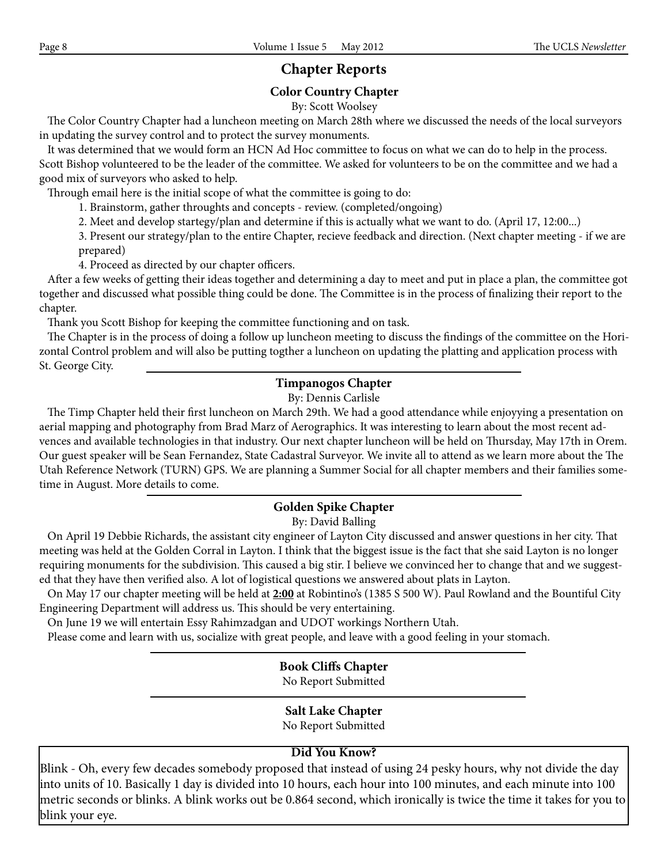# **Chapter Reports**

# **Color Country Chapter**

By: Scott Woolsey

 The Color Country Chapter had a luncheon meeting on March 28th where we discussed the needs of the local surveyors in updating the survey control and to protect the survey monuments.

 It was determined that we would form an HCN Ad Hoc committee to focus on what we can do to help in the process. Scott Bishop volunteered to be the leader of the committee. We asked for volunteers to be on the committee and we had a good mix of surveyors who asked to help.

Through email here is the initial scope of what the committee is going to do:

- 1. Brainstorm, gather throughts and concepts review. (completed/ongoing)
- 2. Meet and develop startegy/plan and determine if this is actually what we want to do. (April 17, 12:00...)

3. Present our strategy/plan to the entire Chapter, recieve feedback and direction. (Next chapter meeting - if we are prepared)

4. Proceed as directed by our chapter officers.

 After a few weeks of getting their ideas together and determining a day to meet and put in place a plan, the committee got together and discussed what possible thing could be done. The Committee is in the process of finalizing their report to the chapter.

Thank you Scott Bishop for keeping the committee functioning and on task.

 The Chapter is in the process of doing a follow up luncheon meeting to discuss the findings of the committee on the Horizontal Control problem and will also be putting togther a luncheon on updating the platting and application process with St. George City.

# **Timpanogos Chapter**

By: Dennis Carlisle

 The Timp Chapter held their first luncheon on March 29th. We had a good attendance while enjoyying a presentation on aerial mapping and photography from Brad Marz of Aerographics. It was interesting to learn about the most recent advences and available technologies in that industry. Our next chapter luncheon will be held on Thursday, May 17th in Orem. Our guest speaker will be Sean Fernandez, State Cadastral Surveyor. We invite all to attend as we learn more about the The Utah Reference Network (TURN) GPS. We are planning a Summer Social for all chapter members and their families sometime in August. More details to come.

# **Golden Spike Chapter**

By: David Balling

 On April 19 Debbie Richards, the assistant city engineer of Layton City discussed and answer questions in her city. That meeting was held at the Golden Corral in Layton. I think that the biggest issue is the fact that she said Layton is no longer requiring monuments for the subdivision. This caused a big stir. I believe we convinced her to change that and we suggested that they have then verified also. A lot of logistical questions we answered about plats in Layton.

 On May 17 our chapter meeting will be held at **2:00** at Robintino's (1385 S 500 W). Paul Rowland and the Bountiful City Engineering Department will address us. This should be very entertaining.

On June 19 we will entertain Essy Rahimzadgan and UDOT workings Northern Utah.

Please come and learn with us, socialize with great people, and leave with a good feeling in your stomach.

# **Book Cliffs Chapter**

No Report Submitted

# **Salt Lake Chapter**

No Report Submitted

# **Did You Know?**

Blink - Oh, every few decades somebody proposed that instead of using 24 pesky hours, why not divide the day into units of 10. Basically 1 day is divided into 10 hours, each hour into 100 minutes, and each minute into 100 metric seconds or blinks. A blink works out be 0.864 second, which ironically is twice the time it takes for you to blink your eye.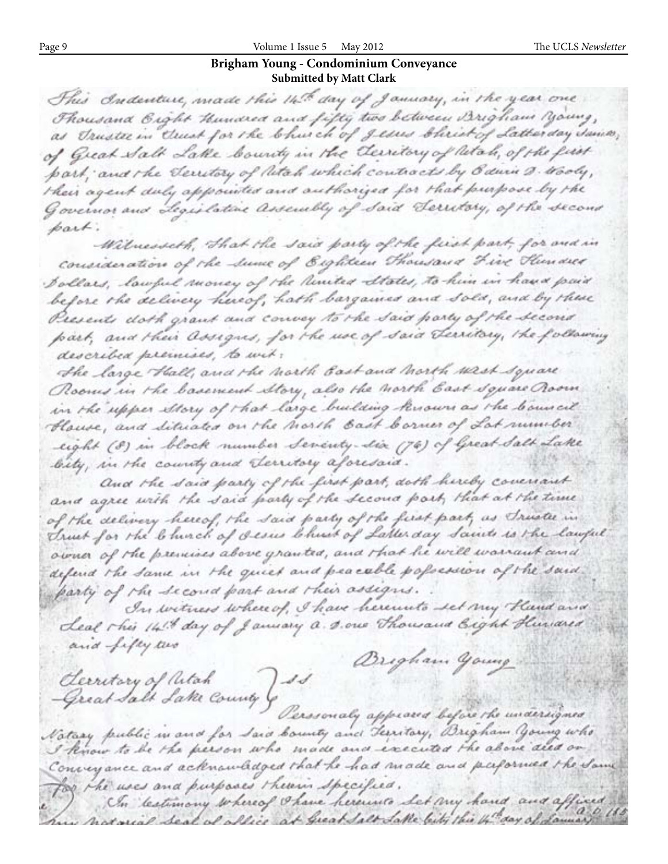# **Brigham Young - Condominium Conveyance Submitted by Matt Clark**

This Indenture, made this the day of January, in the year one Thousand Eight thundred and fifty two between Brigham young, as Trustee in thust for the Church of Jesus Shrist of Latterday James, of Great Salt Lake bounty in the Territory of Retal, of the first part, and the Servetory of Netah which contracts by Edura D. Wooly, their agent duly appointed and outhorized for that purpose by the Governor and Legislative assembly of Said Serutory, of the second part.

-Wilnesseth, That the said party of the first part, for and in consideration of the Sume of Eighteen Thousand Five Hunder Sollars, lawful money of the Minited States, to him in hand paid before the delivery hereof, hoth bargaines and Sold, and by these Presents doth grant and convey to the said party of the second part, and their assigns, for the use of said Territory, the following described preinises, to wit:

The large Hall, and the north East and Morth wast square Rooms in the basement story, also the north East square Room in the upper story of that large building known as the bouncil blouse, and ditricted on the morth bast borner of Lot number eight (8) in block number Seventy-six (76) of Great Salt Lake bity, in the county and Elevitory aforesaid.

and the said party of the first part, doth hereby coveriant and agree with the said party of the second part, that at the time of the delivery hereof, the said party of the first part, as Irustee in Samt for the blunch of seen blunt of Latterday Saints is the lawful owner of the premises above granted, and that he will warrant and defend the same in the quiet and peacable popoession of the said. party of the second part and their assigns.

In witness where of, I have hereunto set my Hand and Leal this 14th day of January a. s. one Thousand Eight Hurians and fifty two

Elecritory of Artak  $JJJ$ Great Salt Lake County

Brigham Young

Ocrossonaly appraved before the undersigned Notary public in and for Said bounty and Territory, Brigham young who I know to be the person who made and executed the above and or Conveyance and acknowledged that he had made and performed the Same for the uses and purposes therein specified. . In lectionary whereof shave herewise Set any hand and affixed

him witning seal of affice at Great Salt Salte bity this 14" day of farming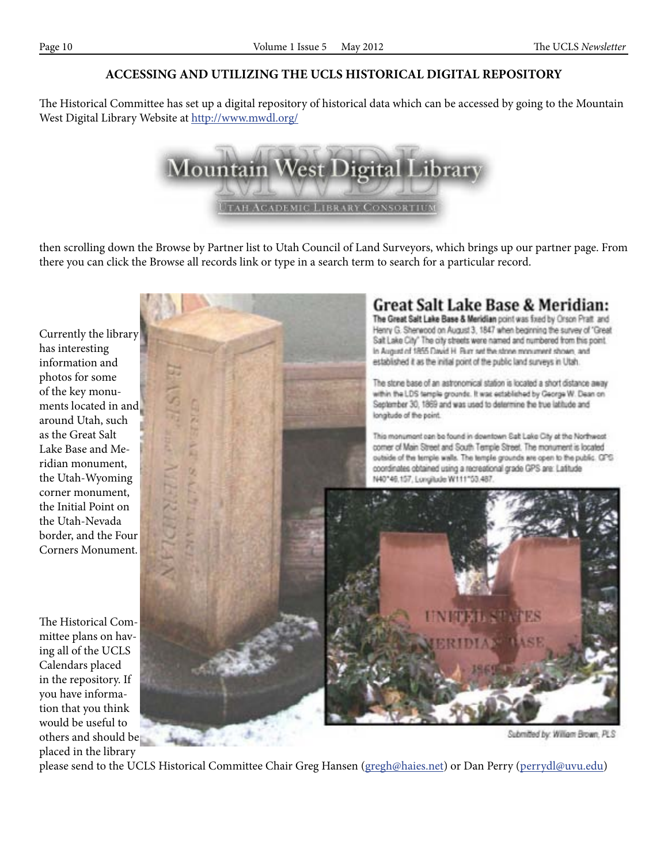# **ACCESSING AND UTILIZING THE UCLS HISTORICAL DIGITAL REPOSITORY**

The Historical Committee has set up a digital repository of historical data which can be accessed by going to the Mountain West Digital Library Website at http://www.mwdl.org/



then scrolling down the Browse by Partner list to Utah Council of Land Surveyors, which brings up our partner page. From there you can click the Browse all records link or type in a search term to search for a particular record.

Currently the library has interesting information and photos for some of the key monuments located in and around Utah, such as the Great Salt Lake Base and Meridian monument, the Utah-Wyoming corner monument, the Initial Point on the Utah-Nevada border, and the Four Corners Monument.

The Historical Committee plans on having all of the UCLS Calendars placed in the repository. If you have information that you think would be useful to others and should be placed in the library



Submitted by: William Brown, PLS

please send to the UCLS Historical Committee Chair Greg Hansen (gregh@haies.net) or Dan Perry (perrydl@uvu.edu)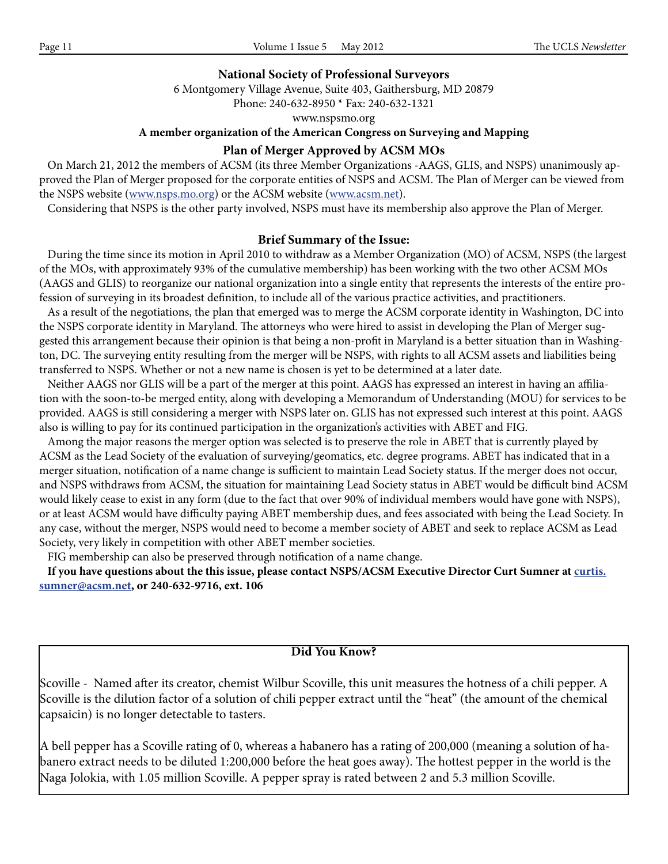#### **National Society of Professional Surveyors**

6 Montgomery Village Avenue, Suite 403, Gaithersburg, MD 20879

Phone: 240-632-8950 \* Fax: 240-632-1321

www.nspsmo.org

#### **A member organization of the American Congress on Surveying and Mapping**

#### **Plan of Merger Approved by ACSM MOs**

 On March 21, 2012 the members of ACSM (its three Member Organizations -AAGS, GLIS, and NSPS) unanimously approved the Plan of Merger proposed for the corporate entities of NSPS and ACSM. The Plan of Merger can be viewed from the NSPS website (www.nsps.mo.org) or the ACSM website (www.acsm.net).

Considering that NSPS is the other party involved, NSPS must have its membership also approve the Plan of Merger.

#### **Brief Summary of the Issue:**

 During the time since its motion in April 2010 to withdraw as a Member Organization (MO) of ACSM, NSPS (the largest of the MOs, with approximately 93% of the cumulative membership) has been working with the two other ACSM MOs (AAGS and GLIS) to reorganize our national organization into a single entity that represents the interests of the entire profession of surveying in its broadest definition, to include all of the various practice activities, and practitioners.

 As a result of the negotiations, the plan that emerged was to merge the ACSM corporate identity in Washington, DC into the NSPS corporate identity in Maryland. The attorneys who were hired to assist in developing the Plan of Merger suggested this arrangement because their opinion is that being a non-profit in Maryland is a better situation than in Washington, DC. The surveying entity resulting from the merger will be NSPS, with rights to all ACSM assets and liabilities being transferred to NSPS. Whether or not a new name is chosen is yet to be determined at a later date.

 Neither AAGS nor GLIS will be a part of the merger at this point. AAGS has expressed an interest in having an affiliation with the soon-to-be merged entity, along with developing a Memorandum of Understanding (MOU) for services to be provided. AAGS is still considering a merger with NSPS later on. GLIS has not expressed such interest at this point. AAGS also is willing to pay for its continued participation in the organization's activities with ABET and FIG.

 Among the major reasons the merger option was selected is to preserve the role in ABET that is currently played by ACSM as the Lead Society of the evaluation of surveying/geomatics, etc. degree programs. ABET has indicated that in a merger situation, notification of a name change is sufficient to maintain Lead Society status. If the merger does not occur, and NSPS withdraws from ACSM, the situation for maintaining Lead Society status in ABET would be difficult bind ACSM would likely cease to exist in any form (due to the fact that over 90% of individual members would have gone with NSPS), or at least ACSM would have difficulty paying ABET membership dues, and fees associated with being the Lead Society. In any case, without the merger, NSPS would need to become a member society of ABET and seek to replace ACSM as Lead Society, very likely in competition with other ABET member societies.

FIG membership can also be preserved through notification of a name change.

 **If you have questions about the this issue, please contact NSPS/ACSM Executive Director Curt Sumner at curtis. sumner@acsm.net, or 240-632-9716, ext. 106**

# **Did You Know?**

Scoville - Named after its creator, chemist Wilbur Scoville, this unit measures the hotness of a chili pepper. A Scoville is the dilution factor of a solution of chili pepper extract until the "heat" (the amount of the chemical capsaicin) is no longer detectable to tasters.

A bell pepper has a Scoville rating of 0, whereas a habanero has a rating of 200,000 (meaning a solution of habanero extract needs to be diluted 1:200,000 before the heat goes away). The hottest pepper in the world is the Naga Jolokia, with 1.05 million Scoville. A pepper spray is rated between 2 and 5.3 million Scoville.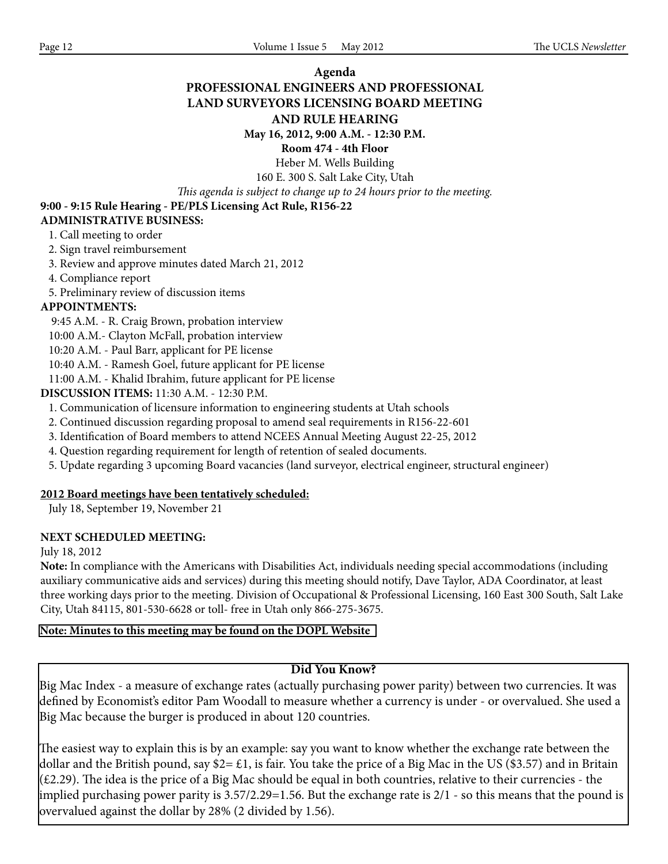## **Agenda**

# **PROFESSIONAL ENGINEERS AND PROFESSIONAL LAND SURVEYORS LICENSING BOARD MEETING AND RULE HEARING May 16, 2012, 9:00 A.M. - 12:30 P.M.**

# **Room 474 - 4th Floor**

Heber M. Wells Building

160 E. 300 S. Salt Lake City, Utah

*This agenda is subject to change up to 24 hours prior to the meeting.*

# **9:00 - 9:15 Rule Hearing - PE/PLS Licensing Act Rule, R156-22**

# **ADMINISTRATIVE BUSINESS:**

- 1. Call meeting to order
- 2. Sign travel reimbursement
- 3. Review and approve minutes dated March 21, 2012
- 4. Compliance report
- 5. Preliminary review of discussion items

# **APPOINTMENTS:**

9:45 A.M. - R. Craig Brown, probation interview

10:00 A.M.- Clayton McFall, probation interview

10:20 A.M. - Paul Barr, applicant for PE license

10:40 A.M. - Ramesh Goel, future applicant for PE license

11:00 A.M. - Khalid Ibrahim, future applicant for PE license

# **DISCUSSION ITEMS:** 11:30 A.M. - 12:30 P.M.

- 1. Communication of licensure information to engineering students at Utah schools
- 2. Continued discussion regarding proposal to amend seal requirements in R156-22-601
- 3. Identification of Board members to attend NCEES Annual Meeting August 22-25, 2012
- 4. Question regarding requirement for length of retention of sealed documents.
- 5. Update regarding 3 upcoming Board vacancies (land surveyor, electrical engineer, structural engineer)

## **2012 Board meetings have been tentatively scheduled:**

July 18, September 19, November 21

## **NEXT SCHEDULED MEETING:**

## July 18, 2012

**Note:** In compliance with the Americans with Disabilities Act, individuals needing special accommodations (including auxiliary communicative aids and services) during this meeting should notify, Dave Taylor, ADA Coordinator, at least three working days prior to the meeting. Division of Occupational & Professional Licensing, 160 East 300 South, Salt Lake City, Utah 84115, 801-530-6628 or toll- free in Utah only 866-275-3675.

## **Note: Minutes to this meeting may be found on the DOPL Website**

# **Did You Know?**

Big Mac Index - a measure of exchange rates (actually purchasing power parity) between two currencies. It was defined by Economist's editor Pam Woodall to measure whether a currency is under - or overvalued. She used a Big Mac because the burger is produced in about 120 countries.

The easiest way to explain this is by an example: say you want to know whether the exchange rate between the dollar and the British pound, say \$2= £1, is fair. You take the price of a Big Mac in the US (\$3.57) and in Britain (£2.29). The idea is the price of a Big Mac should be equal in both countries, relative to their currencies - the implied purchasing power parity is 3.57/2.29=1.56. But the exchange rate is 2/1 - so this means that the pound is overvalued against the dollar by 28% (2 divided by 1.56).